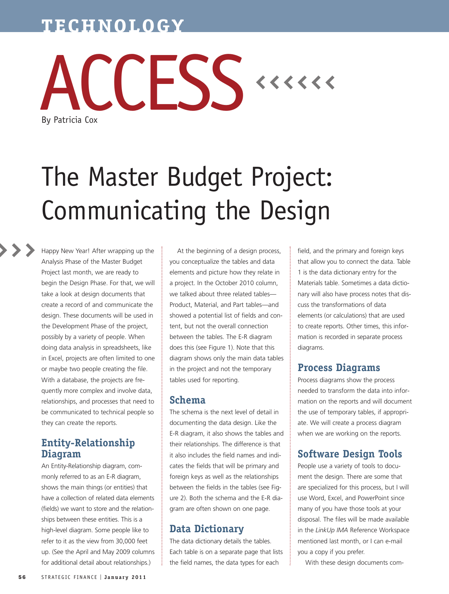# **TECHNOLOGY**



# The Master Budget Project: Communicating the Design

Happy New Year! After wrapping up the Analysis Phase of the Master Budget Project last month, we are ready to begin the Design Phase. For that, we will take a look at design documents that create a record of and communicate the design. These documents will be used in the Development Phase of the project, possibly by a variety of people. When doing data analysis in spreadsheets, like in Excel, projects are often limited to one or maybe two people creating the file. With a database, the projects are frequently more complex and involve data, relationships, and processes that need to be communicated to technical people so they can create the reports.

#### **Entity-Relationship Diagram**

An Entity-Relationship diagram, commonly referred to as an E-R diagram, shows the main things (or entities) that have a collection of related data elements (fields) we want to store and the relationships between these entities. This is a high-level diagram. Some people like to refer to it as the view from 30,000 feet up. (See the April and May 2009 columns for additional detail about relationships.)

At the beginning of a design process, you conceptualize the tables and data elements and picture how they relate in a project. In the October 2010 column, we talked about three related tables— Product, Material, and Part tables—and showed a potential list of fields and content, but not the overall connection between the tables. The E-R diagram does this (see Figure 1). Note that this diagram shows only the main data tables in the project and not the temporary tables used for reporting.

#### **Schema**

The schema is the next level of detail in documenting the data design. Like the E-R diagram, it also shows the tables and their relationships. The difference is that it also includes the field names and indicates the fields that will be primary and foreign keys as well as the relationships between the fields in the tables (see Figure 2). Both the schema and the E-R diagram are often shown on one page.

#### **Data Dictionary**

The data dictionary details the tables. Each table is on a separate page that lists the field names, the data types for each

field, and the primary and foreign keys that allow you to connect the data. Table 1 is the data dictionary entry for the Materials table. Sometimes a data dictionary will also have process notes that discuss the transformations of data elements (or calculations) that are used to create reports. Other times, this information is recorded in separate process diagrams.

#### **Process Diagrams**

Process diagrams show the process needed to transform the data into information on the reports and will document the use of temporary tables, if appropriate. We will create a process diagram when we are working on the reports.

## **Software Design Tools**

People use a variety of tools to document the design. There are some that are specialized for this process, but I will use Word, Excel, and PowerPoint since many of you have those tools at your disposal. The files will be made available in the *LinkUp IMA* Reference Workspace mentioned last month, or I can e-mail you a copy if you prefer.

With these design documents com-